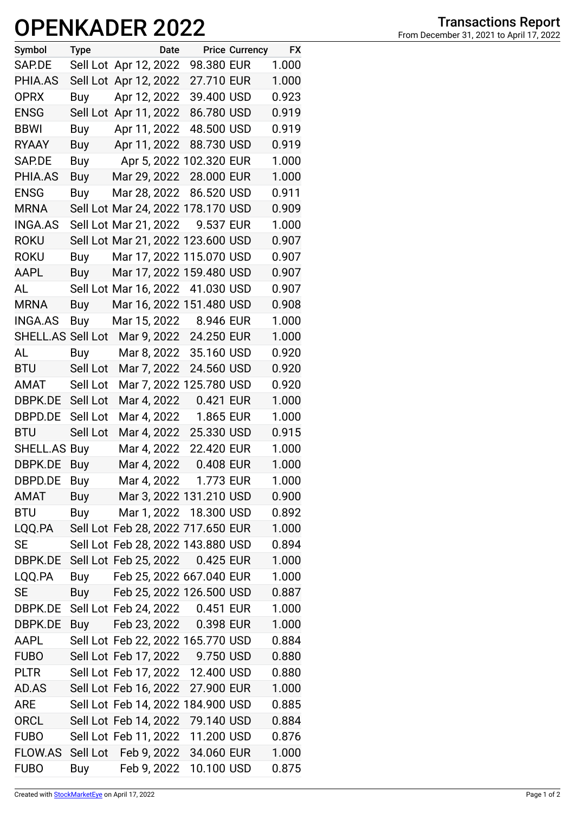## **OPENKADER 2022**

| Symbol              | <b>Type</b> |                       | Date |                                   | <b>Price Currency</b> | <b>FX</b> |
|---------------------|-------------|-----------------------|------|-----------------------------------|-----------------------|-----------|
| SAP.DE              |             | Sell Lot Apr 12, 2022 |      | 98.380 EUR                        |                       | 1.000     |
| PHIA.AS             |             | Sell Lot Apr 12, 2022 |      | 27.710 EUR                        |                       | 1.000     |
| <b>OPRX</b>         | Buy         | Apr 12, 2022          |      | 39.400 USD                        |                       | 0.923     |
| <b>ENSG</b>         |             | Sell Lot Apr 11, 2022 |      | 86.780 USD                        |                       | 0.919     |
| <b>BBWI</b>         | Buy         | Apr 11, 2022          |      | 48.500 USD                        |                       | 0.919     |
| <b>RYAAY</b>        | Buy         | Apr 11, 2022          |      | 88.730 USD                        |                       | 0.919     |
| SAP.DE              | Buy         |                       |      | Apr 5, 2022 102.320 EUR           |                       | 1.000     |
| PHIA.AS             | Buy         | Mar 29, 2022          |      | 28.000 EUR                        |                       | 1.000     |
| <b>ENSG</b>         | Buy         | Mar 28, 2022          |      | 86.520 USD                        |                       | 0.911     |
| <b>MRNA</b>         |             |                       |      | Sell Lot Mar 24, 2022 178.170 USD |                       | 0.909     |
| INGA.AS             |             | Sell Lot Mar 21, 2022 |      | 9.537 EUR                         |                       | 1.000     |
| <b>ROKU</b>         |             |                       |      | Sell Lot Mar 21, 2022 123.600 USD |                       | 0.907     |
| <b>ROKU</b>         | Buy         |                       |      | Mar 17, 2022 115.070 USD          |                       | 0.907     |
| AAPL                | Buy         |                       |      | Mar 17, 2022 159.480 USD          |                       | 0.907     |
| AL                  |             |                       |      | Sell Lot Mar 16, 2022 41.030 USD  |                       | 0.907     |
| <b>MRNA</b>         | Buy         |                       |      | Mar 16, 2022 151.480 USD          |                       | 0.908     |
| <b>INGA.AS</b>      | Buy         | Mar 15, 2022          |      | 8.946 EUR                         |                       | 1.000     |
| SHELL.AS Sell Lot   |             |                       |      | Mar 9, 2022 24.250 EUR            |                       | 1.000     |
| AL                  | Buy         | Mar 8, 2022           |      | 35.160 USD                        |                       | 0.920     |
| <b>BTU</b>          | Sell Lot    | Mar 7, 2022           |      | 24.560 USD                        |                       | 0.920     |
| AMAT                | Sell Lot    |                       |      | Mar 7, 2022 125.780 USD           |                       | 0.920     |
| DBPK.DE Sell Lot    |             | Mar 4, 2022           |      | 0.421 EUR                         |                       | 1.000     |
| DBPD.DE Sell Lot    |             | Mar 4, 2022           |      | 1.865 EUR                         |                       | 1.000     |
| <b>BTU</b>          | Sell Lot    | Mar 4, 2022           |      | 25.330 USD                        |                       | 0.915     |
| <b>SHELL.AS Buy</b> |             | Mar 4, 2022           |      | 22.420 EUR                        |                       | 1.000     |
| DBPK.DE             | Buy         | Mar 4, 2022           |      | 0.408 EUR                         |                       | 1.000     |
| DBPD.DE             | <b>Buy</b>  |                       |      | Mar 4, 2022 1.773 EUR             |                       | 1.000     |
| AMAT                | Buy         |                       |      | Mar 3, 2022 131.210 USD           |                       | 0.900     |
| <b>BTU</b>          | Buy         |                       |      | Mar 1, 2022 18.300 USD            |                       | 0.892     |
| LQQ.PA              |             |                       |      | Sell Lot Feb 28, 2022 717.650 EUR |                       | 1.000     |
| <b>SE</b>           |             |                       |      | Sell Lot Feb 28, 2022 143.880 USD |                       | 0.894     |
| DBPK.DE             |             | Sell Lot Feb 25, 2022 |      | 0.425 EUR                         |                       | 1.000     |
| LQQ.PA              | Buy         |                       |      | Feb 25, 2022 667.040 EUR          |                       | 1.000     |
| <b>SE</b>           | Buy         |                       |      | Feb 25, 2022 126.500 USD          |                       | 0.887     |
| DBPK.DE             |             |                       |      | Sell Lot Feb 24, 2022 0.451 EUR   |                       | 1.000     |
| DBPK.DE             | Buy         |                       |      | Feb 23, 2022 0.398 EUR            |                       | 1.000     |
| AAPL                |             |                       |      | Sell Lot Feb 22, 2022 165.770 USD |                       | 0.884     |
| <b>FUBO</b>         |             |                       |      | Sell Lot Feb 17, 2022 9.750 USD   |                       | 0.880     |
| <b>PLTR</b>         |             |                       |      | Sell Lot Feb 17, 2022 12.400 USD  |                       | 0.880     |
| AD.AS               |             | Sell Lot Feb 16, 2022 |      | 27.900 EUR                        |                       | 1.000     |
| <b>ARE</b>          |             |                       |      | Sell Lot Feb 14, 2022 184.900 USD |                       | 0.885     |
| <b>ORCL</b>         |             | Sell Lot Feb 14, 2022 |      | 79.140 USD                        |                       | 0.884     |
| <b>FUBO</b>         |             |                       |      | Sell Lot Feb 11, 2022 11.200 USD  |                       | 0.876     |
| FLOW.AS             |             | Sell Lot Feb 9, 2022  |      | 34.060 EUR                        |                       | 1.000     |
| <b>FUBO</b>         | Buy         | Feb 9, 2022           |      | 10.100 USD                        |                       | 0.875     |